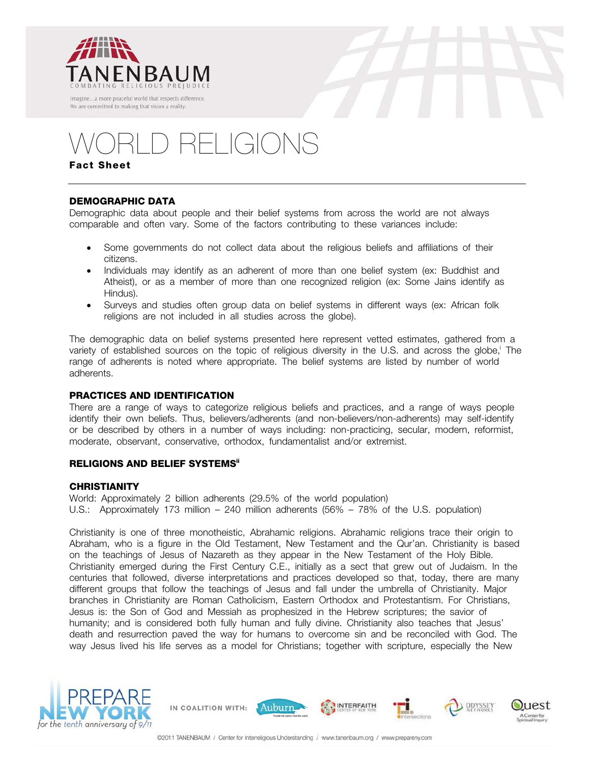





# RELIGIONS

**Fact Sheet**

# **DEMOGRAPHIC DATA**

Demographic data about people and their belief systems from across the world are not always comparable and often vary. Some of the factors contributing to these variances include:

- Some governments do not collect data about the religious beliefs and affiliations of their citizens.
- Individuals may identify as an adherent of more than one belief system (ex: Buddhist and Atheist), or as a member of more than one recognized religion (ex: Some Jains identify as Hindus).
- Surveys and studies often group data on belief systems in different ways (ex: African folk religions are not included in all studies across the globe).

The demographic data on belief systems presented here represent vetted estimates, gathered from a variety of established sources on the topic of religious diversity in the U.S. and across the globe, The range of adherents is noted where appropriate. The belief systems are listed by number of world adherents.

# **PRACTICES AND IDENTIFICATION**

There are a range of ways to categorize religious beliefs and practices, and a range of ways people identify their own beliefs. Thus, believers/adherents (and non-believers/non-adherents) may self-identify or be described by others in a number of ways including: non-practicing, secular, modern, reformist, moderate, observant, conservative, orthodox, fundamentalist and/or extremist.

## **RELIGIONS AND BELIEF SYSTEMSii**

## **CHRISTIANITY**

World: Approximately 2 billion adherents (29.5% of the world population) U.S.: Approximately 173 million – 240 million adherents (56% – 78% of the U.S. population)

Christianity is one of three monotheistic, Abrahamic religions. Abrahamic religions trace their origin to Abraham, who is a figure in the Old Testament, New Testament and the Qur'an. Christianity is based on the teachings of Jesus of Nazareth as they appear in the New Testament of the Holy Bible. Christianity emerged during the First Century C.E., initially as a sect that grew out of Judaism. In the centuries that followed, diverse interpretations and practices developed so that, today, there are many different groups that follow the teachings of Jesus and fall under the umbrella of Christianity. Major branches in Christianity are Roman Catholicism, Eastern Orthodox and Protestantism. For Christians, Jesus is: the Son of God and Messiah as prophesized in the Hebrew scriptures; the savior of humanity; and is considered both fully human and fully divine. Christianity also teaches that Jesus' death and resurrection paved the way for humans to overcome sin and be reconciled with God. The way Jesus lived his life serves as a model for Christians; together with scripture, especially the New





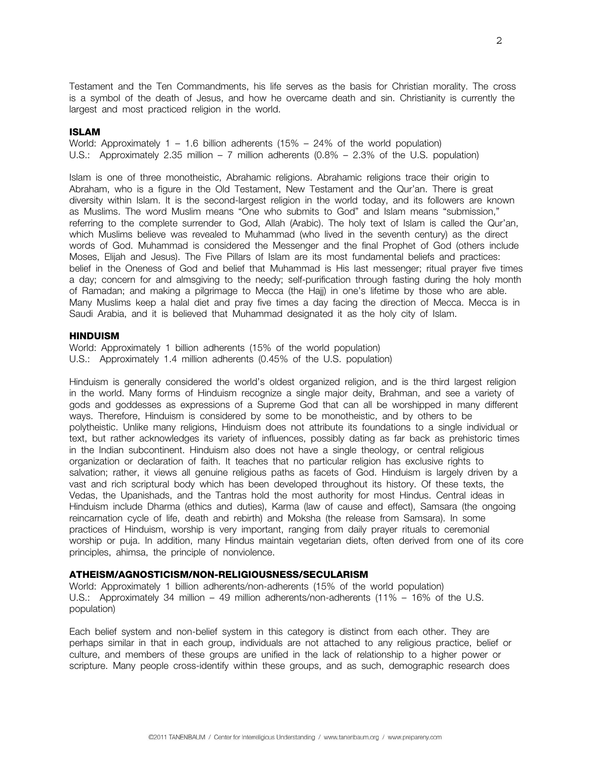Testament and the Ten Commandments, his life serves as the basis for Christian morality. The cross is a symbol of the death of Jesus, and how he overcame death and sin. Christianity is currently the largest and most practiced religion in the world.

#### **ISLAM**

World: Approximately  $1 - 1.6$  billion adherents (15% – 24% of the world population) U.S.: Approximately 2.35 million – 7 million adherents (0.8% – 2.3% of the U.S. population)

Islam is one of three monotheistic, Abrahamic religions. Abrahamic religions trace their origin to Abraham, who is a figure in the Old Testament, New Testament and the Qur'an. There is great diversity within Islam. It is the second-largest religion in the world today, and its followers are known as Muslims. The word Muslim means "One who submits to God" and Islam means "submission," referring to the complete surrender to God, Allah (Arabic). The holy text of Islam is called the Qur'an, which Muslims believe was revealed to Muhammad (who lived in the seventh century) as the direct words of God. Muhammad is considered the Messenger and the final Prophet of God (others include Moses, Elijah and Jesus). The Five Pillars of Islam are its most fundamental beliefs and practices: belief in the Oneness of God and belief that Muhammad is His last messenger; ritual prayer five times a day; concern for and almsgiving to the needy; self-purification through fasting during the holy month of Ramadan; and making a pilgrimage to Mecca (the Hajj) in one's lifetime by those who are able. Many Muslims keep a halal diet and pray five times a day facing the direction of Mecca. Mecca is in Saudi Arabia, and it is believed that Muhammad designated it as the holy city of Islam.

### **HINDUISM**

World: Approximately 1 billion adherents (15% of the world population) U.S.: Approximately 1.4 million adherents (0.45% of the U.S. population)

Hinduism is generally considered the world's oldest organized religion, and is the third largest religion in the world. Many forms of Hinduism recognize a single major deity, Brahman, and see a variety of gods and goddesses as expressions of a Supreme God that can all be worshipped in many different ways. Therefore, Hinduism is considered by some to be monotheistic, and by others to be polytheistic. Unlike many religions, Hinduism does not attribute its foundations to a single individual or text, but rather acknowledges its variety of influences, possibly dating as far back as prehistoric times in the Indian subcontinent. Hinduism also does not have a single theology, or central religious organization or declaration of faith. It teaches that no particular religion has exclusive rights to salvation; rather, it views all genuine religious paths as facets of God. Hinduism is largely driven by a vast and rich scriptural body which has been developed throughout its history. Of these texts, the Vedas, the Upanishads, and the Tantras hold the most authority for most Hindus. Central ideas in Hinduism include Dharma (ethics and duties), Karma (law of cause and effect), Samsara (the ongoing reincarnation cycle of life, death and rebirth) and Moksha (the release from Samsara). In some practices of Hinduism, worship is very important, ranging from daily prayer rituals to ceremonial worship or puja. In addition, many Hindus maintain vegetarian diets, often derived from one of its core principles, ahimsa, the principle of nonviolence.

#### **ATHEISM/AGNOSTICISM/NON-RELIGIOUSNESS/SECULARISM**

World: Approximately 1 billion adherents/non-adherents (15% of the world population) U.S.: Approximately 34 million – 49 million adherents/non-adherents (11% – 16% of the U.S. population)

Each belief system and non-belief system in this category is distinct from each other. They are perhaps similar in that in each group, individuals are not attached to any religious practice, belief or culture, and members of these groups are unified in the lack of relationship to a higher power or scripture. Many people cross-identify within these groups, and as such, demographic research does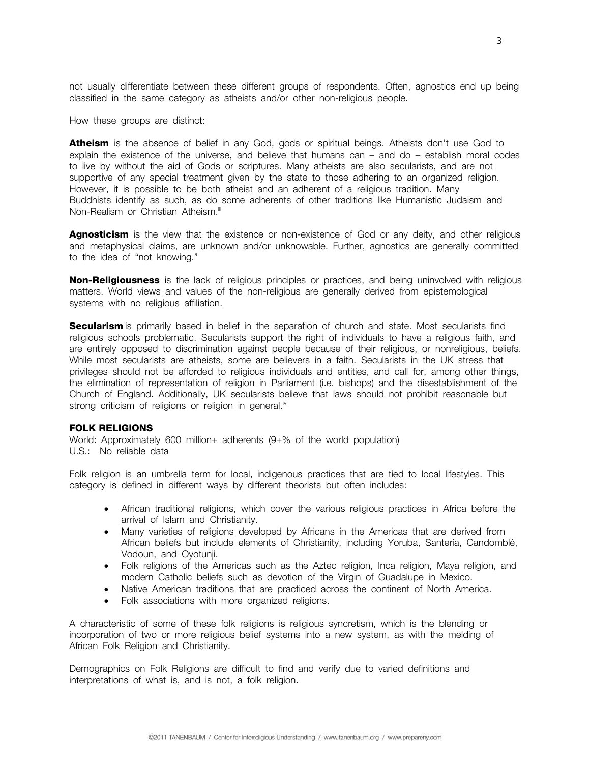not usually differentiate between these different groups of respondents. Often, agnostics end up being classified in the same category as atheists and/or other non-religious people.

How these groups are distinct:

Atheism is the absence of belief in any God, gods or spiritual beings. Atheists don't use God to explain the existence of the universe, and believe that humans can – and do – establish moral codes to live by without the aid of Gods or scriptures. Many atheists are also secularists, and are not supportive of any special treatment given by the state to those adhering to an organized religion. However, it is possible to be both atheist and an adherent of a religious tradition. Many Buddhists identify as such, as do some adherents of other traditions like Humanistic Judaism and Non-Realism or Christian Atheism.<sup>iii</sup>

**Agnosticism** is the view that the existence or non-existence of God or any deity, and other religious and metaphysical claims, are unknown and/or unknowable. Further, agnostics are generally committed to the idea of "not knowing."

**Non-Religiousness** is the lack of religious principles or practices, and being uninvolved with religious matters. World views and values of the non-religious are generally derived from epistemological systems with no religious affiliation.

**Secularism** is primarily based in belief in the separation of church and state. Most secularists find religious schools problematic. Secularists support the right of individuals to have a religious faith, and are entirely opposed to discrimination against people because of their religious, or nonreligious, beliefs. While most secularists are atheists, some are believers in a faith. Secularists in the UK stress that privileges should not be afforded to religious individuals and entities, and call for, among other things, the elimination of representation of religion in Parliament (i.e. bishops) and the disestablishment of the Church of England. Additionally, UK secularists believe that laws should not prohibit reasonable but strong criticism of religions or religion in general.<sup>iv</sup>

#### **FOLK RELIGIONS**

World: Approximately 600 million+ adherents (9+% of the world population) U.S.: No reliable data

Folk religion is an umbrella term for local, indigenous practices that are tied to local lifestyles. This category is defined in different ways by different theorists but often includes:

- African traditional religions, which cover the various religious practices in Africa before the arrival of Islam and Christianity.
- Many varieties of religions developed by Africans in the Americas that are derived from African beliefs but include elements of Christianity, including Yoruba, Santería, Candomblé, Vodoun, and Oyotunji.
- Folk religions of the Americas such as the Aztec religion, Inca religion, Maya religion, and modern Catholic beliefs such as devotion of the Virgin of Guadalupe in Mexico.
- Native American traditions that are practiced across the continent of North America.
- Folk associations with more organized religions.

A characteristic of some of these folk religions is religious syncretism, which is the blending or incorporation of two or more religious belief systems into a new system, as with the melding of African Folk Religion and Christianity.

Demographics on Folk Religions are difficult to find and verify due to varied definitions and interpretations of what is, and is not, a folk religion.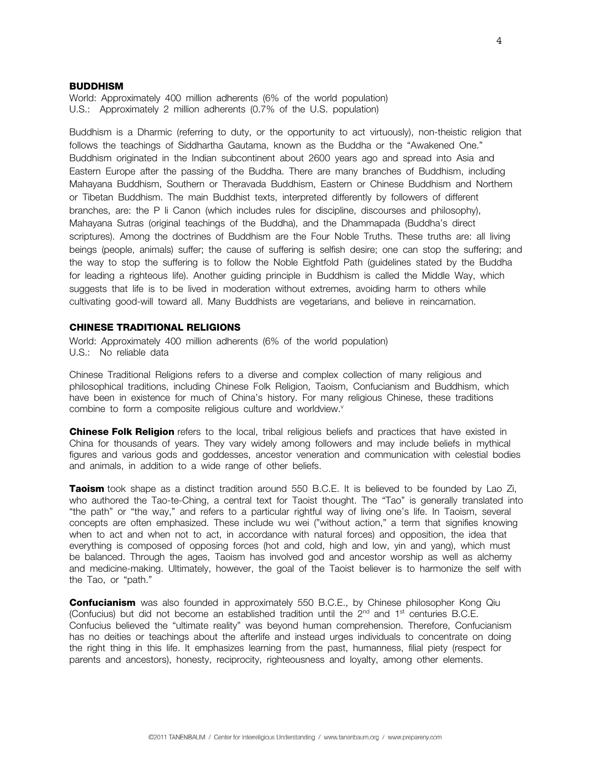#### **BUDDHISM**

World: Approximately 400 million adherents (6% of the world population) U.S.: Approximately 2 million adherents (0.7% of the U.S. population)

Buddhism is a Dharmic (referring to duty, or the opportunity to act virtuously), non-theistic religion that follows the teachings of Siddhartha Gautama, known as the Buddha or the "Awakened One." Buddhism originated in the Indian subcontinent about 2600 years ago and spread into Asia and Eastern Europe after the passing of the Buddha. There are many branches of Buddhism, including Mahayana Buddhism, Southern or Theravada Buddhism, Eastern or Chinese Buddhism and Northern or Tibetan Buddhism. The main Buddhist texts, interpreted differently by followers of different branches, are: the P li Canon (which includes rules for discipline, discourses and philosophy), Mahayana Sutras (original teachings of the Buddha), and the Dhammapada (Buddha's direct scriptures). Among the doctrines of Buddhism are the Four Noble Truths. These truths are: all living beings (people, animals) suffer; the cause of suffering is selfish desire; one can stop the suffering; and the way to stop the suffering is to follow the Noble Eightfold Path (guidelines stated by the Buddha for leading a righteous life). Another guiding principle in Buddhism is called the Middle Way, which suggests that life is to be lived in moderation without extremes, avoiding harm to others while cultivating good-will toward all. Many Buddhists are vegetarians, and believe in reincarnation.

#### **CHINESE TRADITIONAL RELIGIONS**

World: Approximately 400 million adherents (6% of the world population) U.S.: No reliable data

Chinese Traditional Religions refers to a diverse and complex collection of many religious and philosophical traditions, including Chinese Folk Religion, Taoism, Confucianism and Buddhism, which have been in existence for much of China's history. For many religious Chinese, these traditions combine to form a composite religious culture and worldview.<sup>v</sup>

**Chinese Folk Religion** refers to the local, tribal religious beliefs and practices that have existed in China for thousands of years. They vary widely among followers and may include beliefs in mythical figures and various gods and goddesses, ancestor veneration and communication with celestial bodies and animals, in addition to a wide range of other beliefs.

**Taoism** took shape as a distinct tradition around 550 B.C.E. It is believed to be founded by Lao Zi, who authored the Tao-te-Ching, a central text for Taoist thought. The "Tao" is generally translated into "the path" or "the way," and refers to a particular rightful way of living one's life. In Taoism, several concepts are often emphasized. These include wu wei ("without action," a term that signifies knowing when to act and when not to act, in accordance with natural forces) and opposition, the idea that everything is composed of opposing forces (hot and cold, high and low, yin and yang), which must be balanced. Through the ages, Taoism has involved god and ancestor worship as well as alchemy and medicine-making. Ultimately, however, the goal of the Taoist believer is to harmonize the self with the Tao, or "path."

**Confucianism** was also founded in approximately 550 B.C.E., by Chinese philosopher Kong Qiu (Confucius) but did not become an established tradition until the  $2<sup>nd</sup>$  and 1<sup>st</sup> centuries B.C.E. Confucius believed the "ultimate reality" was beyond human comprehension. Therefore, Confucianism has no deities or teachings about the afterlife and instead urges individuals to concentrate on doing the right thing in this life. It emphasizes learning from the past, humanness, filial piety (respect for parents and ancestors), honesty, reciprocity, righteousness and loyalty, among other elements.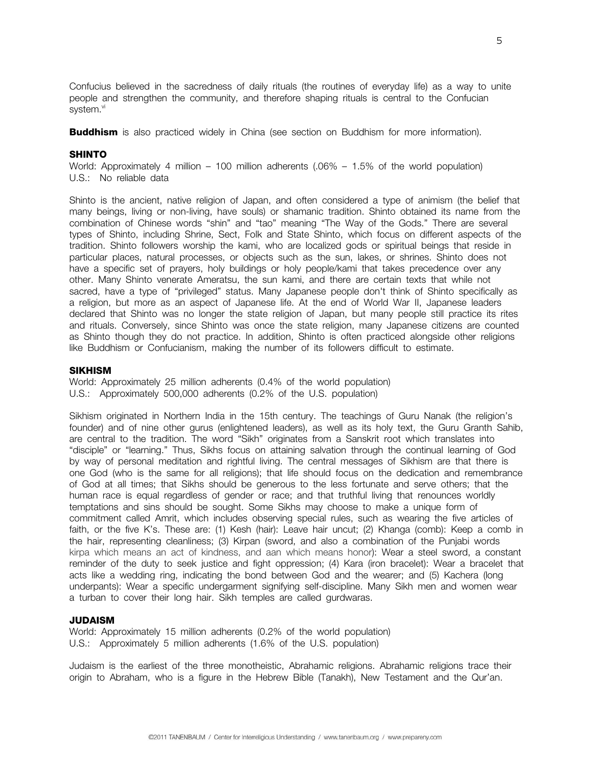Confucius believed in the sacredness of daily rituals (the routines of everyday life) as a way to unite people and strengthen the community, and therefore shaping rituals is central to the Confucian system.<sup>vi</sup>

**Buddhism** is also practiced widely in China (see section on Buddhism for more information).

# **SHINTO**

World: Approximately 4 million – 100 million adherents (.06% – 1.5% of the world population) U.S.: No reliable data

Shinto is the ancient, native religion of Japan, and often considered a type of animism (the belief that many beings, living or non-living, have souls) or shamanic tradition. Shinto obtained its name from the combination of Chinese words "shin" and "tao" meaning "The Way of the Gods." There are several types of Shinto, including Shrine, Sect, Folk and State Shinto, which focus on different aspects of the tradition. Shinto followers worship the kami, who are localized gods or spiritual beings that reside in particular places, natural processes, or objects such as the sun, lakes, or shrines. Shinto does not have a specific set of prayers, holy buildings or holy people/kami that takes precedence over any other. Many Shinto venerate Ameratsu, the sun kami, and there are certain texts that while not sacred, have a type of "privileged" status. Many Japanese people don't think of Shinto specifically as a religion, but more as an aspect of Japanese life. At the end of World War II, Japanese leaders declared that Shinto was no longer the state religion of Japan, but many people still practice its rites and rituals. Conversely, since Shinto was once the state religion, many Japanese citizens are counted as Shinto though they do not practice. In addition, Shinto is often practiced alongside other religions like Buddhism or Confucianism, making the number of its followers difficult to estimate.

#### **SIKHISM**

World: Approximately 25 million adherents (0.4% of the world population) U.S.: Approximately 500,000 adherents (0.2% of the U.S. population)

Sikhism originated in Northern India in the 15th century. The teachings of Guru Nanak (the religion's founder) and of nine other gurus (enlightened leaders), as well as its holy text, the Guru Granth Sahib, are central to the tradition. The word "Sikh" originates from a Sanskrit root which translates into "disciple" or "learning." Thus, Sikhs focus on attaining salvation through the continual learning of God by way of personal meditation and rightful living. The central messages of Sikhism are that there is one God (who is the same for all religions); that life should focus on the dedication and remembrance of God at all times; that Sikhs should be generous to the less fortunate and serve others; that the human race is equal regardless of gender or race; and that truthful living that renounces worldly temptations and sins should be sought. Some Sikhs may choose to make a unique form of commitment called Amrit, which includes observing special rules, such as wearing the five articles of faith, or the five K's. These are: (1) Kesh (hair): Leave hair uncut; (2) Khanga (comb): Keep a comb in the hair, representing cleanliness; (3) Kirpan (sword, and also a combination of the Punjabi words kirpa which means an act of kindness, and aan which means honor): Wear a steel sword, a constant reminder of the duty to seek justice and fight oppression; (4) Kara (iron bracelet): Wear a bracelet that acts like a wedding ring, indicating the bond between God and the wearer; and (5) Kachera (long underpants): Wear a specific undergarment signifying self-discipline. Many Sikh men and women wear a turban to cover their long hair. Sikh temples are called gurdwaras.

## **JUDAISM**

World: Approximately 15 million adherents (0.2% of the world population) U.S.: Approximately 5 million adherents (1.6% of the U.S. population)

Judaism is the earliest of the three monotheistic, Abrahamic religions. Abrahamic religions trace their origin to Abraham, who is a figure in the Hebrew Bible (Tanakh), New Testament and the Qur'an.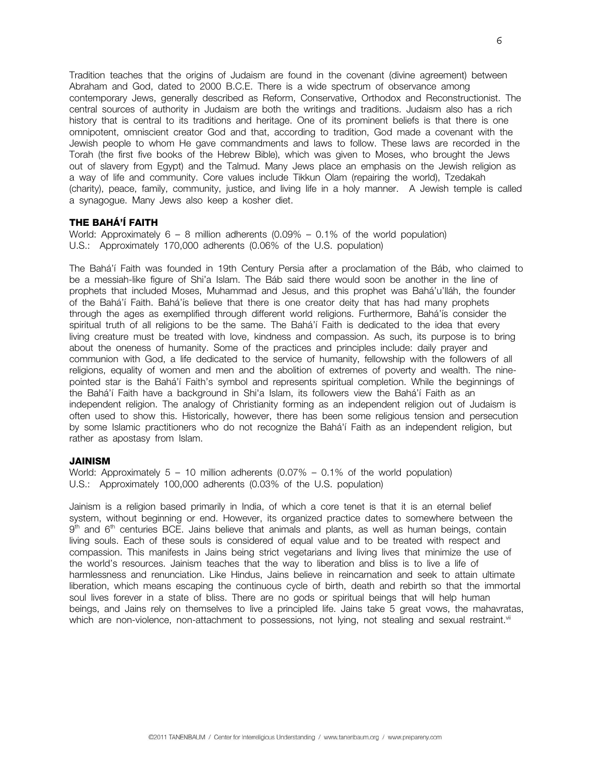Tradition teaches that the origins of Judaism are found in the covenant (divine agreement) between Abraham and God, dated to 2000 B.C.E. There is a wide spectrum of observance among contemporary Jews, generally described as Reform, Conservative, Orthodox and Reconstructionist. The central sources of authority in Judaism are both the writings and traditions. Judaism also has a rich history that is central to its traditions and heritage. One of its prominent beliefs is that there is one omnipotent, omniscient creator God and that, according to tradition, God made a covenant with the Jewish people to whom He gave commandments and laws to follow. These laws are recorded in the Torah (the first five books of the Hebrew Bible), which was given to Moses, who brought the Jews out of slavery from Egypt) and the Talmud. Many Jews place an emphasis on the Jewish religion as a way of life and community. Core values include Tikkun Olam (repairing the world), Tzedakah (charity), peace, family, community, justice, and living life in a holy manner. A Jewish temple is called a synagogue. Many Jews also keep a kosher diet.

## **THE BAHÁ'Í FAITH**

World: Approximately  $6 - 8$  million adherents  $(0.09\% - 0.1\%$  of the world population) U.S.: Approximately 170,000 adherents (0.06% of the U.S. population)

The Bahá'í Faith was founded in 19th Century Persia after a proclamation of the Báb, who claimed to be a messiah-like figure of Shi'a Islam. The Báb said there would soon be another in the line of prophets that included Moses, Muhammad and Jesus, and this prophet was Bahá'u'lláh, the founder of the Bahá'í Faith. Bahá'ís believe that there is one creator deity that has had many prophets through the ages as exemplified through different world religions. Furthermore, Bahá'ís consider the spiritual truth of all religions to be the same. The Bahá'í Faith is dedicated to the idea that every living creature must be treated with love, kindness and compassion. As such, its purpose is to bring about the oneness of humanity. Some of the practices and principles include: daily prayer and communion with God, a life dedicated to the service of humanity, fellowship with the followers of all religions, equality of women and men and the abolition of extremes of poverty and wealth. The ninepointed star is the Bahá'í Faith's symbol and represents spiritual completion. While the beginnings of the Bahá'í Faith have a background in Shi'a Islam, its followers view the Bahá'í Faith as an independent religion. The analogy of Christianity forming as an independent religion out of Judaism is often used to show this. Historically, however, there has been some religious tension and persecution by some Islamic practitioners who do not recognize the Bahá'í Faith as an independent religion, but rather as apostasy from Islam.

## **JAINISM**

World: Approximately  $5 - 10$  million adherents  $(0.07\% - 0.1\%$  of the world population) U.S.: Approximately 100,000 adherents (0.03% of the U.S. population)

Jainism is a religion based primarily in India, of which a core tenet is that it is an eternal belief system, without beginning or end. However, its organized practice dates to somewhere between the 9<sup>th</sup> and 6<sup>th</sup> centuries BCE. Jains believe that animals and plants, as well as human beings, contain living souls. Each of these souls is considered of equal value and to be treated with respect and compassion. This manifests in Jains being strict vegetarians and living lives that minimize the use of the world's resources. Jainism teaches that the way to liberation and bliss is to live a life of harmlessness and renunciation. Like Hindus, Jains believe in reincarnation and seek to attain ultimate liberation, which means escaping the continuous cycle of birth, death and rebirth so that the immortal soul lives forever in a state of bliss. There are no gods or spiritual beings that will help human beings, and Jains rely on themselves to live a principled life. Jains take 5 great vows, the mahavratas, which are non-violence, non-attachment to possessions, not lying, not stealing and sexual restraint.<sup>vii</sup>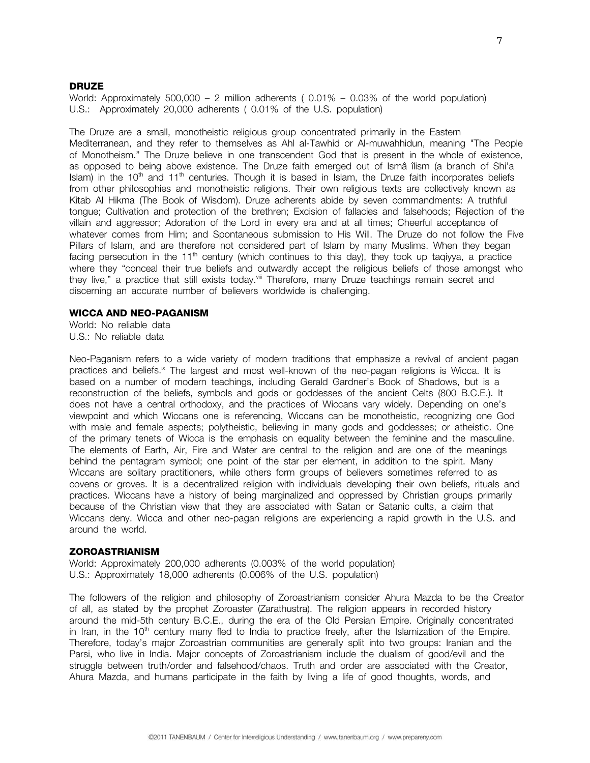#### **DRUZE**

World: Approximately 500,000 – 2 million adherents ( $0.01\%$  – 0.03% of the world population) U.S.: Approximately 20,000 adherents ( 0.01% of the U.S. population)

The Druze are a small, monotheistic religious group concentrated primarily in the Eastern Mediterranean, and they refer to themselves as Ahl al-Tawhid or Al-muwahhidun, meaning "The People of Monotheism." The Druze believe in one transcendent God that is present in the whole of existence, as opposed to being above existence. The Druze faith emerged out of Ismâ îlism (a branch of Shi'a Islam) in the  $10<sup>th</sup>$  and  $11<sup>th</sup>$  centuries. Though it is based in Islam, the Druze faith incorporates beliefs from other philosophies and monotheistic religions. Their own religious texts are collectively known as Kitab Al Hikma (The Book of Wisdom). Druze adherents abide by seven commandments: A truthful tongue; Cultivation and protection of the brethren; Excision of fallacies and falsehoods; Rejection of the villain and aggressor; Adoration of the Lord in every era and at all times; Cheerful acceptance of whatever comes from Him; and Spontaneous submission to His Will. The Druze do not follow the Five Pillars of Islam, and are therefore not considered part of Islam by many Muslims. When they began facing persecution in the 11<sup>th</sup> century (which continues to this day), they took up tagiyya, a practice where they "conceal their true beliefs and outwardly accept the religious beliefs of those amongst who they live," a practice that still exists today.<sup>viii</sup> Therefore, many Druze teachings remain secret and discerning an accurate number of believers worldwide is challenging.

## **WICCA AND NEO-PAGANISM**

World: No reliable data U.S.: No reliable data

Neo-Paganism refers to a wide variety of modern traditions that emphasize a revival of ancient pagan practices and beliefs.<sup>ix</sup> The largest and most well-known of the neo-pagan religions is Wicca. It is based on a number of modern teachings, including Gerald Gardner's Book of Shadows, but is a reconstruction of the beliefs, symbols and gods or goddesses of the ancient Celts (800 B.C.E.). It does not have a central orthodoxy, and the practices of Wiccans vary widely. Depending on one's viewpoint and which Wiccans one is referencing, Wiccans can be monotheistic, recognizing one God with male and female aspects; polytheistic, believing in many gods and goddesses; or atheistic. One of the primary tenets of Wicca is the emphasis on equality between the feminine and the masculine. The elements of Earth, Air, Fire and Water are central to the religion and are one of the meanings behind the pentagram symbol; one point of the star per element, in addition to the spirit. Many Wiccans are solitary practitioners, while others form groups of believers sometimes referred to as covens or groves. It is a decentralized religion with individuals developing their own beliefs, rituals and practices. Wiccans have a history of being marginalized and oppressed by Christian groups primarily because of the Christian view that they are associated with Satan or Satanic cults, a claim that Wiccans deny. Wicca and other neo-pagan religions are experiencing a rapid growth in the U.S. and around the world.

#### **ZOROASTRIANISM**

World: Approximately 200,000 adherents (0.003% of the world population) U.S.: Approximately 18,000 adherents (0.006% of the U.S. population)

The followers of the religion and philosophy of Zoroastrianism consider Ahura Mazda to be the Creator of all, as stated by the prophet Zoroaster (Zarathustra). The religion appears in recorded history around the mid-5th century B.C.E., during the era of the Old Persian Empire. Originally concentrated in Iran, in the  $10<sup>th</sup>$  century many fled to India to practice freely, after the Islamization of the Empire. Therefore, today's major Zoroastrian communities are generally split into two groups: Iranian and the Parsi, who live in India. Major concepts of Zoroastrianism include the dualism of good/evil and the struggle between truth/order and falsehood/chaos. Truth and order are associated with the Creator, Ahura Mazda, and humans participate in the faith by living a life of good thoughts, words, and